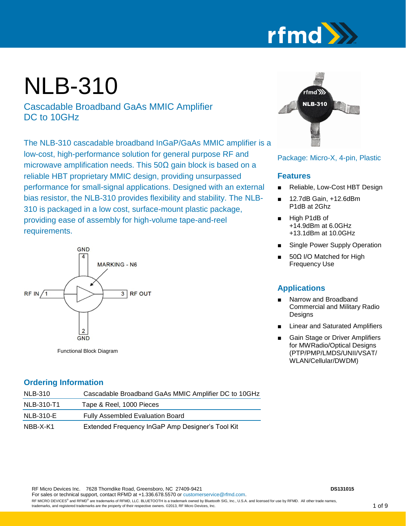

## NLB-310

Cascadable Broadband GaAs MMIC Amplifier DC to 10GHz

The NLB-310 cascadable broadband InGaP/GaAs MMIC amplifier is a low-cost, high-performance solution for general purpose RF and microwave amplification needs. This  $50\Omega$  gain block is based on a reliable HBT proprietary MMIC design, providing unsurpassed performance for small-signal applications. Designed with an external bias resistor, the NLB-310 provides flexibility and stability. The NLB-310 is packaged in a low cost, surface-mount plastic package, providing ease of assembly for high-volume tape-and-reel requirements.



Functional Block Diagram

# fmd $W$ NLB-310

#### Package: Micro-X, 4-pin, Plastic

#### **Features**

- Reliable, Low-Cost HBT Design
- 12.7dB Gain, +12.6dBm P1dB at 2Ghz
- High P1dB of +14.9dBm at 6.0GHz +13.1dBm at 10.0GHz
- Single Power Supply Operation
- 50Ω I/O Matched for High Frequency Use

#### **Applications**

- Narrow and Broadband Commercial and Military Radio **Designs**
- Linear and Saturated Amplifiers
- **Gain Stage or Driver Amplifiers** for MWRadio/Optical Designs (PTP/PMP/LMDS/UNII/VSAT/ WLAN/Cellular/DWDM)

#### **Ordering Information**

| <b>NLB-310</b>   | Cascadable Broadband GaAs MMIC Amplifier DC to 10GHz |
|------------------|------------------------------------------------------|
| NLB-310-T1       | Tape & Reel, 1000 Pieces                             |
| <b>NLB-310-E</b> | <b>Fully Assembled Evaluation Board</b>              |
| NBB-X-K1         | Extended Frequency InGaP Amp Designer's Tool Kit     |

RF Micro Devices Inc. 7628 Thorndike Road, Greensboro, NC 27409-9421 **DS131015 DS131015** 

For sales or technical support, contact RFMD at +1.336.678.5570 o[r customerservice@rfmd.com.](mailto:customerservice@rfmd.com)

RF MICRO DEVICES® and RFMD® are trademarks of RFMD, LLC. BLUETOOTH is a trademark owned by Bluetooth SIG, Inc., U.S.A. and licensed for use by RFMD. All other trade names, trademarks, and registered trademarks are the property of their respective owners. ©2013, RF Micro Devices, Inc.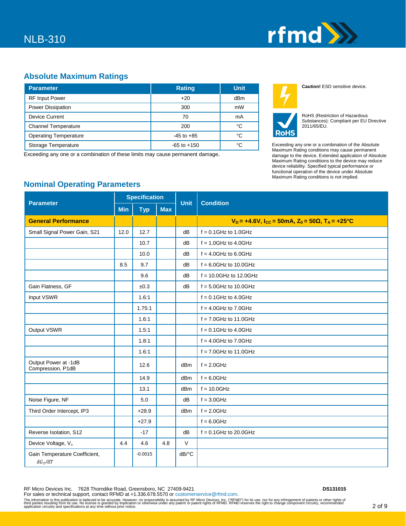

#### **Absolute Maximum Ratings**

| <b>Parameter</b>             | <b>Rating</b>   | <b>Unit</b>     |
|------------------------------|-----------------|-----------------|
| <b>RF</b> Input Power        | $+20$           | dB <sub>m</sub> |
| <b>Power Dissipation</b>     | 300             | mW              |
| <b>Device Current</b>        | 70              | mA              |
| <b>Channel Temperature</b>   | 200             | °C              |
| <b>Operating Temperature</b> | $-45$ to $+85$  | °C              |
| Storage Temperature          | $-65$ to $+150$ | °C              |

Exceeding any one or a combination of these limits may cause permanent damage.



**RoHS** 

RoHS (Restriction of Hazardous Substances): Compliant per EU Directive 2011/65/EU.

**Caution!** ESD sensitive device.

Exceeding any one or a combination of the Absolute Maximum Rating conditions may cause permanent damage to the device. Extended application of Absolute Maximum Rating conditions to the device may reduce device reliability. Specified typical performance or functional operation of the device under Absolute Maximum Rating conditions is not implied.

#### **Nominal Operating Parameters**

| <b>Parameter</b>                                         | <b>Specification</b> |            |            | <b>Unit</b>                          | <b>Condition</b>                                                                              |  |
|----------------------------------------------------------|----------------------|------------|------------|--------------------------------------|-----------------------------------------------------------------------------------------------|--|
|                                                          | <b>Min</b>           | <b>Typ</b> | <b>Max</b> |                                      |                                                                                               |  |
| <b>General Performance</b>                               |                      |            |            |                                      | $V_D = +4.6V$ , I <sub>CC</sub> = 50mA, Z <sub>0</sub> = 50 $\Omega$ , T <sub>A</sub> = +25°C |  |
| Small Signal Power Gain, S21                             | 12.0                 | 12.7       |            | dB                                   | $f = 0.1$ GHz to 1.0GHz                                                                       |  |
|                                                          |                      | 10.7       |            | dB                                   | $f = 1.0$ GHz to 4.0GHz                                                                       |  |
|                                                          |                      | 10.0       |            | dB                                   | $f = 4.0$ GHz to 6.0GHz                                                                       |  |
|                                                          | 8.5                  | 9.7        |            | dB                                   | $f = 6.0$ GHz to 10.0GHz                                                                      |  |
|                                                          |                      | 9.6        |            | dB                                   | $f = 10.0$ GHz to 12.0GHz                                                                     |  |
| Gain Flatness, GF                                        |                      | ±0.3       |            | dB                                   | $f = 5.0$ GHz to 10.0GHz                                                                      |  |
| Input VSWR                                               |                      | 1.6:1      |            |                                      | $f = 0.1$ GHz to 4.0GHz                                                                       |  |
|                                                          |                      | 1.75:1     |            |                                      | $f = 4.0$ GHz to 7.0GHz                                                                       |  |
|                                                          |                      | 1.6:1      |            |                                      | $f = 7.0$ GHz to 11.0GHz                                                                      |  |
| Output VSWR                                              |                      | 1.5:1      |            |                                      | $f = 0.1$ GHz to 4.0GHz                                                                       |  |
|                                                          |                      | 1.8:1      |            |                                      | $f = 4.0$ GHz to 7.0GHz                                                                       |  |
|                                                          |                      | 1.6:1      |            |                                      | $f = 7.0$ GHz to 11.0GHz                                                                      |  |
| Output Power at -1dB<br>Compression, P1dB                |                      | 12.6       |            | dBm                                  | $f = 2.0$ GHz                                                                                 |  |
|                                                          |                      | 14.9       |            | dBm                                  | $f = 6.0$ GHz                                                                                 |  |
|                                                          |                      | 13.1       |            | dBm                                  | $f = 10.0$ GHz                                                                                |  |
| Noise Figure, NF                                         |                      | 5.0        |            | dВ                                   | $f = 3.0$ GHz                                                                                 |  |
| Third Order Intercept, IP3                               |                      | $+28.9$    |            | dBm                                  | $f = 2.0$ GHz                                                                                 |  |
|                                                          |                      | $+27.9$    |            |                                      | $f = 6.0$ GHz                                                                                 |  |
| Reverse Isolation, S12                                   |                      | $-17$      |            | dB                                   | $f = 0.1$ GHz to 20.0GHz                                                                      |  |
| Device Voltage, V <sub>D</sub>                           | 4.4                  | 4.6        | 4.8        | V                                    |                                                                                               |  |
| Gain Temperature Coefficient,<br>$\delta G_T / \delta T$ |                      | $-0.0015$  |            | $dB$ <sup><math>\circ</math></sup> C |                                                                                               |  |

RF Micro Devices Inc. 7628 Thorndike Road, Greensboro, NC 27409-9421 **DS131015** 

For sales or technical support, contact RFMD at +1.336.678.5570 o[r customerservice@rfmd.com.](mailto:customerservice@rfmd.com) The information in this publication is believed to be accurate. However, no responsibility is assumed by RF Micro Devices, Inc. ("RFMD") for its use, nor for any infringement of patents or other rights of the rights of the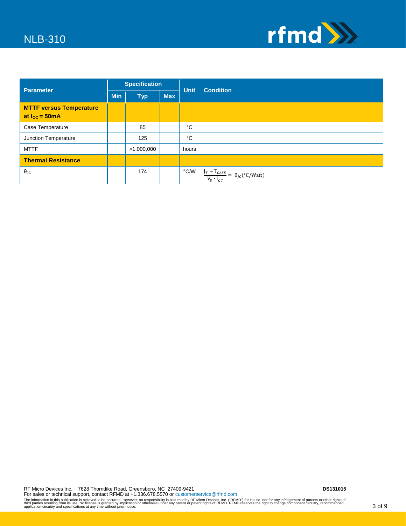

| Parameter                                                           | <b>Specification</b> |            | <b>Unit</b> | <b>Condition</b> |                                                                          |  |
|---------------------------------------------------------------------|----------------------|------------|-------------|------------------|--------------------------------------------------------------------------|--|
|                                                                     | <b>Min</b>           | <b>Typ</b> | <b>Max</b>  |                  |                                                                          |  |
| <b>MTTF versus Temperature</b><br>at $I_{\text{CC}} = 50 \text{mA}$ |                      |            |             |                  |                                                                          |  |
| Case Temperature                                                    |                      | 85         |             | °C               |                                                                          |  |
| Junction Temperature                                                |                      | 125        |             | °C               |                                                                          |  |
| <b>MTTF</b>                                                         |                      | >1,000,000 |             | hours            |                                                                          |  |
| <b>Thermal Resistance</b>                                           |                      |            |             |                  |                                                                          |  |
| $\theta_{\rm JC}$                                                   |                      | 174        |             | ℃∕W              | $\frac{I_T - T_{CASE}}{V_D \cdot I_{cc}} = \theta_{JC} (^{\circ}C/Watt)$ |  |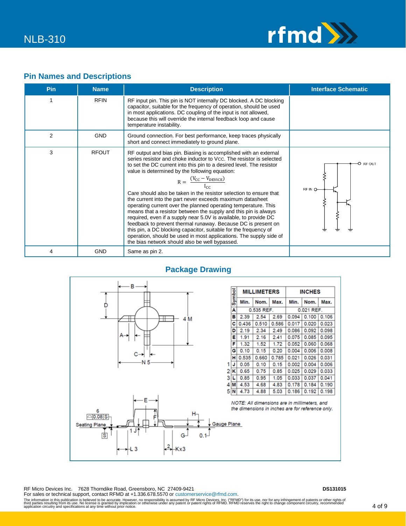

#### **Pin Names and Descriptions**

| <b>Pin</b> | <b>Name</b>  | <b>Description</b>                                                                                                                                                                                                                                                                                                                                                                                                                                                                                                                                                                                                                                                                                                                                                                                                                                                                                                       | <b>Interface Schematic</b>   |
|------------|--------------|--------------------------------------------------------------------------------------------------------------------------------------------------------------------------------------------------------------------------------------------------------------------------------------------------------------------------------------------------------------------------------------------------------------------------------------------------------------------------------------------------------------------------------------------------------------------------------------------------------------------------------------------------------------------------------------------------------------------------------------------------------------------------------------------------------------------------------------------------------------------------------------------------------------------------|------------------------------|
| 1          | <b>RFIN</b>  | RF input pin. This pin is NOT internally DC blocked. A DC blocking<br>capacitor, suitable for the frequency of operation, should be used<br>in most applications. DC coupling of the input is not allowed,<br>because this will override the internal feedback loop and cause<br>temperature instability.                                                                                                                                                                                                                                                                                                                                                                                                                                                                                                                                                                                                                |                              |
| 2          | <b>GND</b>   | Ground connection. For best performance, keep traces physically<br>short and connect immediately to ground plane.                                                                                                                                                                                                                                                                                                                                                                                                                                                                                                                                                                                                                                                                                                                                                                                                        |                              |
| 3          | <b>RFOUT</b> | RF output and bias pin. Biasing is accomplished with an external<br>series resistor and choke inductor to Vcc. The resistor is selected<br>to set the DC current into this pin to a desired level. The resistor<br>value is determined by the following equation:<br>$R = \frac{(V_{CC} - V_{DEVICE})}{I_{CC}}$<br>Care should also be taken in the resistor selection to ensure that<br>the current into the part never exceeds maximum datasheet<br>operating current over the planned operating temperature. This<br>means that a resistor between the supply and this pin is always<br>required, even if a supply near 5.0V is available, to provide DC<br>feedback to prevent thermal runaway. Because DC is present on<br>this pin, a DC blocking capacitor, suitable for the frequency of<br>operation, should be used in most applications. The supply side of<br>the bias network should also be well bypassed. | <b>RF OUT</b><br>o<br>REIN O |
| 4          | <b>GND</b>   | Same as pin 2.                                                                                                                                                                                                                                                                                                                                                                                                                                                                                                                                                                                                                                                                                                                                                                                                                                                                                                           |                              |

#### **Package Drawing**



RF Micro Devices Inc. 7628 Thorndike Road, Greensboro, NC 27409-9421 **DS131015** 

For sales or technical support, contact RFMD at +1.336.678.5570 o[r customerservice@rfmd.com.](mailto:customerservice@rfmd.com)

The information in this publication is believed to be accurate. However, no responsibility is assumed by RF Micro Devices, Inc. ("RFMD") for its use, nor for any infringement of patents or other rights of the rights of the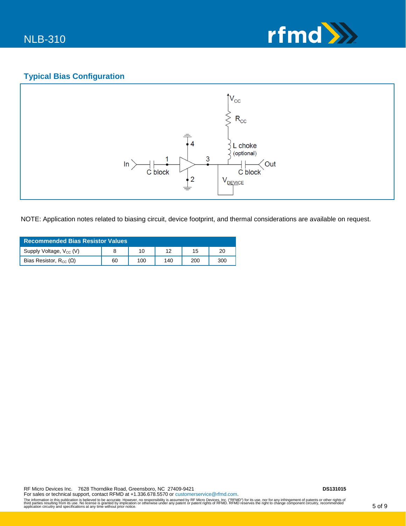

#### **Typical Bias Configuration**



NOTE: Application notes related to biasing circuit, device footprint, and thermal considerations are available on request.

| <b>Recommended Bias Resistor Values</b> |    |     |     |     |     |  |  |
|-----------------------------------------|----|-----|-----|-----|-----|--|--|
| Supply Voltage, $V_{cc}$ (V)            |    | 10  |     | 15  | 20  |  |  |
| Bias Resistor, $R_{CC}(\Omega)$         | 60 | 100 | 140 | 200 | 300 |  |  |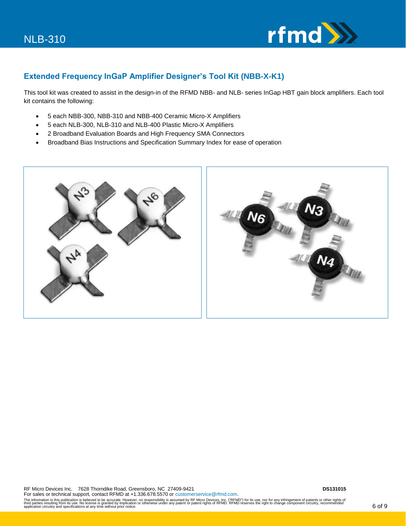

#### **Extended Frequency InGaP Amplifier Designer's Tool Kit (NBB-X-K1)**

This tool kit was created to assist in the design-in of the RFMD NBB- and NLB- series InGap HBT gain block amplifiers. Each tool kit contains the following:

- 5 each NBB-300, NBB-310 and NBB-400 Ceramic Micro-X Amplifiers
- 5 each NLB-300, NLB-310 and NLB-400 Plastic Micro-X Amplifiers
- 2 Broadband Evaluation Boards and High Frequency SMA Connectors
- Broadband Bias Instructions and Specification Summary Index for ease of operation

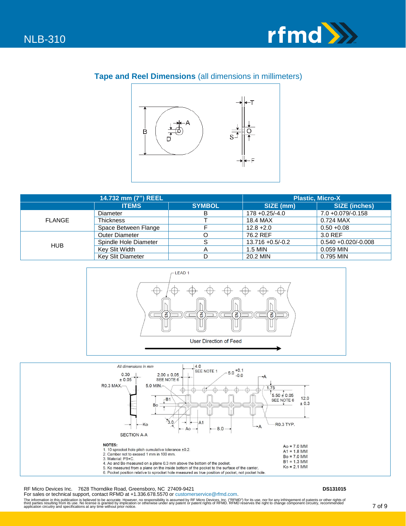

#### **Tape and Reel Dimensions** (all dimensions in millimeters)



|               | 14.732 mm (7") REEL      | <b>Plastic. Micro-X</b> |                   |                        |
|---------------|--------------------------|-------------------------|-------------------|------------------------|
|               | <b>ITEMS</b>             | <b>SYMBOL</b>           | SIZE (mm)         | <b>SIZE (inches)</b>   |
|               | Diameter                 | D                       | $178 + 0.25/-4.0$ | $7.0 + 0.079/-0.158$   |
| <b>FLANGE</b> | <b>Thickness</b>         |                         | 18.4 MAX          | 0.724 MAX              |
|               | Space Between Flange     |                         | $12.8 + 2.0$      | $0.50 + 0.08$          |
|               | <b>Outer Diameter</b>    |                         | 76.2 REF          | 3.0 REF                |
| <b>HUB</b>    | Spindle Hole Diameter    |                         | 13.716 +0.5/-0.2  | $0.540 + 0.020/-0.008$ |
|               | Key Slit Width           |                         | 1.5 MIN           | 0.059 MIN              |
|               | <b>Key Slit Diameter</b> |                         | 20.2 MIN          | 0.795 MIN              |





RF Micro Devices Inc. 7628 Thorndike Road, Greensboro, NC 27409-9421 **DS131015** 

For sales or technical support, contact RFMD at +1.336.678.5570 o[r customerservice@rfmd.com.](mailto:customerservice@rfmd.com) The information in this publication is believed to be accurate. However, no responsibility is assumed by RF Micro Devices, Inc. ("RFMD") for its use, nor for any infringement of patents or other rights of the rights of the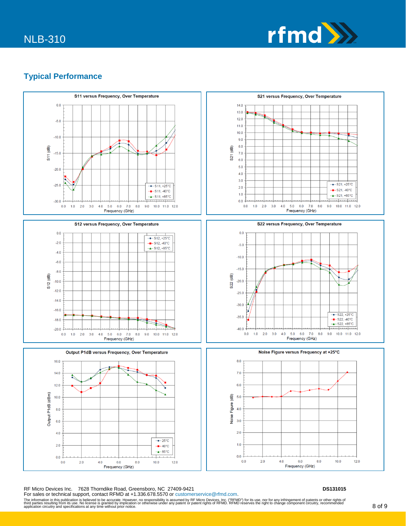

#### **Typical Performance**



RF Micro Devices Inc. 7628 Thorndike Road, Greensboro, NC 27409-9421 **DS131015** 

For sales or technical support, contact RFMD at +1.336.678.5570 o[r customerservice@rfmd.com.](mailto:customerservice@rfmd.com) The information in this publication is believed to be accurate. However, no responsibility is assumed by RF Micro Devices, Inc. ("RFMD") for its use, nor for any infringement of patents or other rights of the rights of pat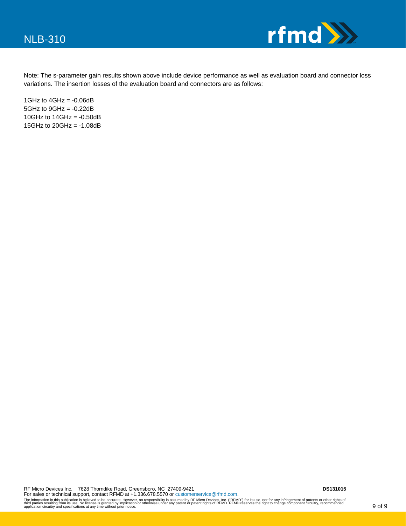

Note: The s-parameter gain results shown above include device performance as well as evaluation board and connector loss variations. The insertion losses of the evaluation board and connectors are as follows:

1GHz to  $4$ GHz =  $-0.06$ dB  $5GHz$  to  $9GHz = -0.22dB$ 10GHz to  $14$ GHz =  $-0.50$ dB 15GHz to  $20$ GHz =  $-1.08$ dB